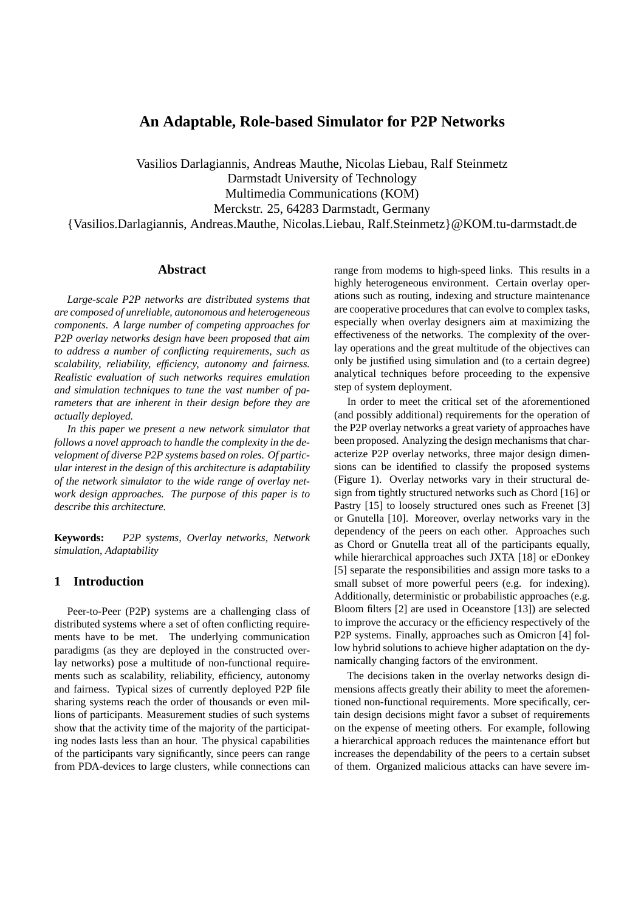# **An Adaptable, Role-based Simulator for P2P Networks**

Vasilios Darlagiannis, Andreas Mauthe, Nicolas Liebau, Ralf Steinmetz Darmstadt University of Technology Multimedia Communications (KOM) Merckstr. 25, 64283 Darmstadt, Germany

{Vasilios.Darlagiannis, Andreas.Mauthe, Nicolas.Liebau, Ralf.Steinmetz}@KOM.tu-darmstadt.de

## **Abstract**

*Large-scale P2P networks are distributed systems that are composed of unreliable, autonomous and heterogeneous components. A large number of competing approaches for P2P overlay networks design have been proposed that aim to address a number of conflicting requirements, such as scalability, reliability, efficiency, autonomy and fairness. Realistic evaluation of such networks requires emulation and simulation techniques to tune the vast number of parameters that are inherent in their design before they are actually deployed.*

*In this paper we present a new network simulator that follows a novel approach to handle the complexity in the development of diverse P2P systems based on roles. Of particular interest in the design of this architecture is adaptability of the network simulator to the wide range of overlay network design approaches. The purpose of this paper is to describe this architecture.*

**Keywords:** *P2P systems, Overlay networks, Network simulation, Adaptability*

## **1 Introduction**

Peer-to-Peer (P2P) systems are a challenging class of distributed systems where a set of often conflicting requirements have to be met. The underlying communication paradigms (as they are deployed in the constructed overlay networks) pose a multitude of non-functional requirements such as scalability, reliability, efficiency, autonomy and fairness. Typical sizes of currently deployed P2P file sharing systems reach the order of thousands or even millions of participants. Measurement studies of such systems show that the activity time of the majority of the participating nodes lasts less than an hour. The physical capabilities of the participants vary significantly, since peers can range from PDA-devices to large clusters, while connections can range from modems to high-speed links. This results in a highly heterogeneous environment. Certain overlay operations such as routing, indexing and structure maintenance are cooperative procedures that can evolve to complex tasks, especially when overlay designers aim at maximizing the effectiveness of the networks. The complexity of the overlay operations and the great multitude of the objectives can only be justified using simulation and (to a certain degree) analytical techniques before proceeding to the expensive step of system deployment.

In order to meet the critical set of the aforementioned (and possibly additional) requirements for the operation of the P2P overlay networks a great variety of approaches have been proposed. Analyzing the design mechanisms that characterize P2P overlay networks, three major design dimensions can be identified to classify the proposed systems (Figure 1). Overlay networks vary in their structural design from tightly structured networks such as Chord [16] or Pastry [15] to loosely structured ones such as Freenet [3] or Gnutella [10]. Moreover, overlay networks vary in the dependency of the peers on each other. Approaches such as Chord or Gnutella treat all of the participants equally, while hierarchical approaches such JXTA [18] or eDonkey [5] separate the responsibilities and assign more tasks to a small subset of more powerful peers (e.g. for indexing). Additionally, deterministic or probabilistic approaches (e.g. Bloom filters [2] are used in Oceanstore [13]) are selected to improve the accuracy or the efficiency respectively of the P2P systems. Finally, approaches such as Omicron [4] follow hybrid solutions to achieve higher adaptation on the dynamically changing factors of the environment.

The decisions taken in the overlay networks design dimensions affects greatly their ability to meet the aforementioned non-functional requirements. More specifically, certain design decisions might favor a subset of requirements on the expense of meeting others. For example, following a hierarchical approach reduces the maintenance effort but increases the dependability of the peers to a certain subset of them. Organized malicious attacks can have severe im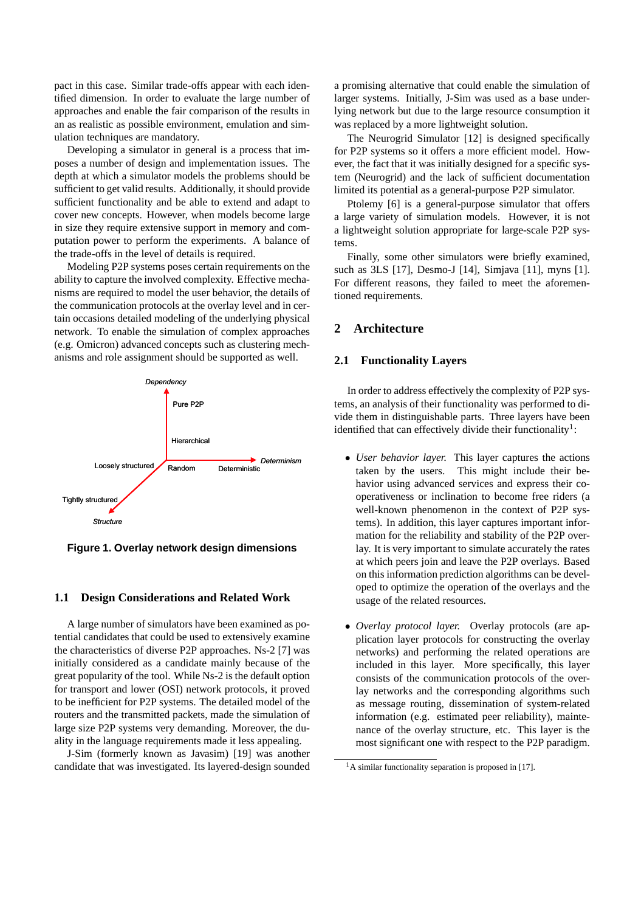pact in this case. Similar trade-offs appear with each identified dimension. In order to evaluate the large number of approaches and enable the fair comparison of the results in an as realistic as possible environment, emulation and simulation techniques are mandatory.

Developing a simulator in general is a process that imposes a number of design and implementation issues. The depth at which a simulator models the problems should be sufficient to get valid results. Additionally, it should provide sufficient functionality and be able to extend and adapt to cover new concepts. However, when models become large in size they require extensive support in memory and computation power to perform the experiments. A balance of the trade-offs in the level of details is required.

Modeling P2P systems poses certain requirements on the ability to capture the involved complexity. Effective mechanisms are required to model the user behavior, the details of the communication protocols at the overlay level and in certain occasions detailed modeling of the underlying physical network. To enable the simulation of complex approaches (e.g. Omicron) advanced concepts such as clustering mechanisms and role assignment should be supported as well.



**Figure 1. Overlay network design dimensions**

## **1.1 Design Considerations and Related Work**

A large number of simulators have been examined as potential candidates that could be used to extensively examine the characteristics of diverse P2P approaches. Ns-2 [7] was initially considered as a candidate mainly because of the great popularity of the tool. While Ns-2 is the default option for transport and lower (OSI) network protocols, it proved to be inefficient for P2P systems. The detailed model of the routers and the transmitted packets, made the simulation of large size P2P systems very demanding. Moreover, the duality in the language requirements made it less appealing.

J-Sim (formerly known as Javasim) [19] was another candidate that was investigated. Its layered-design sounded a promising alternative that could enable the simulation of larger systems. Initially, J-Sim was used as a base underlying network but due to the large resource consumption it was replaced by a more lightweight solution.

The Neurogrid Simulator [12] is designed specifically for P2P systems so it offers a more efficient model. However, the fact that it was initially designed for a specific system (Neurogrid) and the lack of sufficient documentation limited its potential as a general-purpose P2P simulator.

Ptolemy [6] is a general-purpose simulator that offers a large variety of simulation models. However, it is not a lightweight solution appropriate for large-scale P2P systems.

Finally, some other simulators were briefly examined, such as 3LS [17], Desmo-J [14], Simjava [11], myns [1]. For different reasons, they failed to meet the aforementioned requirements.

## **2 Architecture**

#### **2.1 Functionality Layers**

In order to address effectively the complexity of P2P systems, an analysis of their functionality was performed to divide them in distinguishable parts. Three layers have been identified that can effectively divide their functionality<sup>1</sup>:

- *User behavior layer.* This layer captures the actions taken by the users. This might include their behavior using advanced services and express their cooperativeness or inclination to become free riders (a well-known phenomenon in the context of P2P systems). In addition, this layer captures important information for the reliability and stability of the P2P overlay. It is very important to simulate accurately the rates at which peers join and leave the P2P overlays. Based on this information prediction algorithms can be developed to optimize the operation of the overlays and the usage of the related resources.
- *Overlay protocol layer.* Overlay protocols (are application layer protocols for constructing the overlay networks) and performing the related operations are included in this layer. More specifically, this layer consists of the communication protocols of the overlay networks and the corresponding algorithms such as message routing, dissemination of system-related information (e.g. estimated peer reliability), maintenance of the overlay structure, etc. This layer is the most significant one with respect to the P2P paradigm.

<sup>&</sup>lt;sup>1</sup>A similar functionality separation is proposed in [17].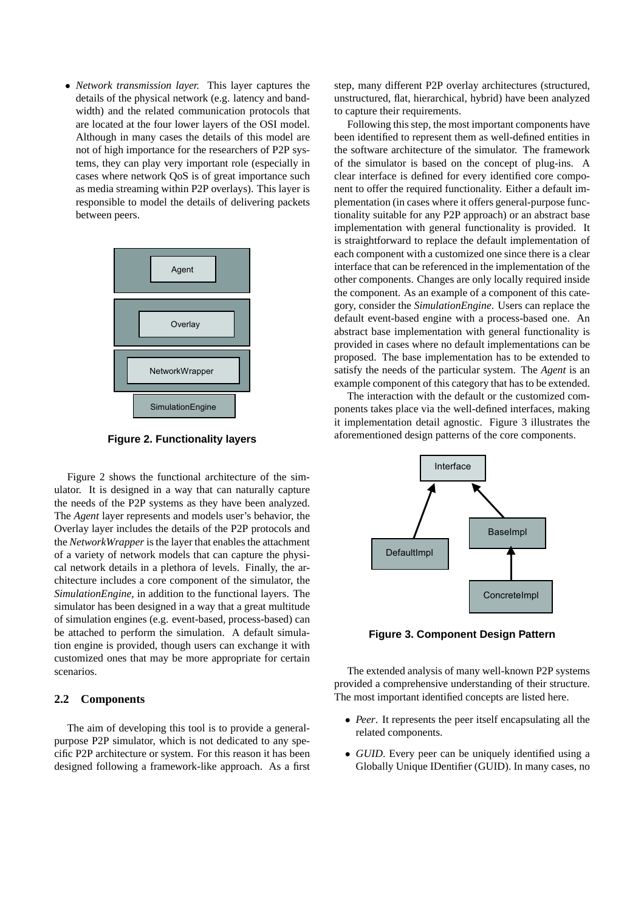• *Network transmission layer.* This layer captures the details of the physical network (e.g. latency and bandwidth) and the related communication protocols that are located at the four lower layers of the OSI model. Although in many cases the details of this model are not of high importance for the researchers of P2P systems, they can play very important role (especially in cases where network QoS is of great importance such as media streaming within P2P overlays). This layer is responsible to model the details of delivering packets between peers.



**Figure 2. Functionality layers**

Figure 2 shows the functional architecture of the simulator. It is designed in a way that can naturally capture the needs of the P2P systems as they have been analyzed. The *Agent* layer represents and models user's behavior, the Overlay layer includes the details of the P2P protocols and the *NetworkWrapper* is the layer that enables the attachment of a variety of network models that can capture the physical network details in a plethora of levels. Finally, the architecture includes a core component of the simulator, the *SimulationEngine*, in addition to the functional layers. The simulator has been designed in a way that a great multitude of simulation engines (e.g. event-based, process-based) can be attached to perform the simulation. A default simulation engine is provided, though users can exchange it with customized ones that may be more appropriate for certain scenarios.

### **2.2 Components**

The aim of developing this tool is to provide a generalpurpose P2P simulator, which is not dedicated to any specific P2P architecture or system. For this reason it has been designed following a framework-like approach. As a first step, many different P2P overlay architectures (structured, unstructured, flat, hierarchical, hybrid) have been analyzed to capture their requirements.

Following this step, the most important components have been identified to represent them as well-defined entities in the software architecture of the simulator. The framework of the simulator is based on the concept of plug-ins. A clear interface is defined for every identified core component to offer the required functionality. Either a default implementation (in cases where it offers general-purpose functionality suitable for any P2P approach) or an abstract base implementation with general functionality is provided. It is straightforward to replace the default implementation of each component with a customized one since there is a clear interface that can be referenced in the implementation of the other components. Changes are only locally required inside the component. As an example of a component of this category, consider the *SimulationEngine*. Users can replace the default event-based engine with a process-based one. An abstract base implementation with general functionality is provided in cases where no default implementations can be proposed. The base implementation has to be extended to satisfy the needs of the particular system. The *Agent* is an example component of this category that has to be extended.

The interaction with the default or the customized components takes place via the well-defined interfaces, making it implementation detail agnostic. Figure 3 illustrates the aforementioned design patterns of the core components.



**Figure 3. Component Design Pattern**

The extended analysis of many well-known P2P systems provided a comprehensive understanding of their structure. The most important identified concepts are listed here.

- *Peer*. It represents the peer itself encapsulating all the related components.
- *GUID*. Every peer can be uniquely identified using a Globally Unique IDentifier (GUID). In many cases, no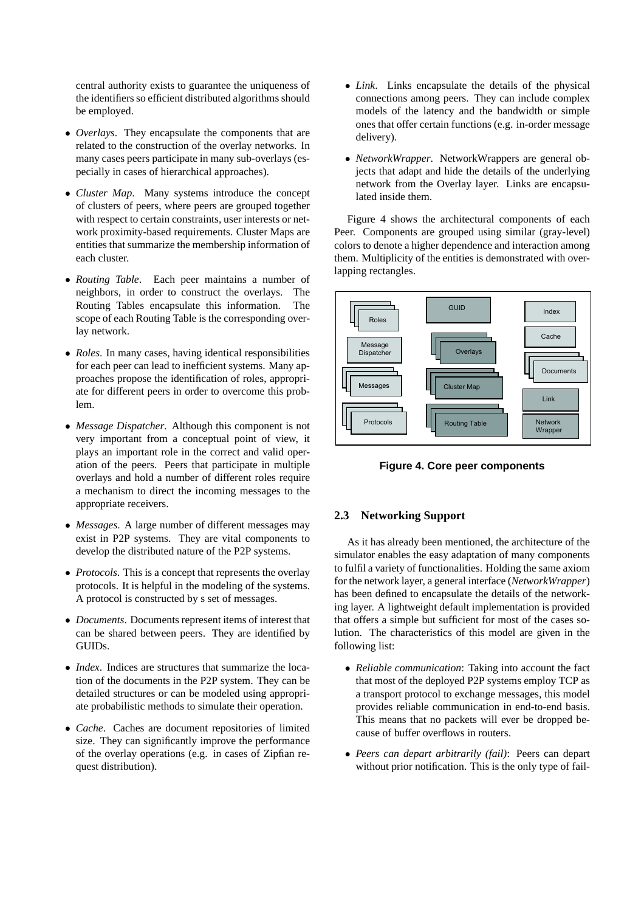central authority exists to guarantee the uniqueness of the identifiers so efficient distributed algorithms should be employed.

- *Overlays*. They encapsulate the components that are related to the construction of the overlay networks. In many cases peers participate in many sub-overlays (especially in cases of hierarchical approaches).
- *Cluster Map*. Many systems introduce the concept of clusters of peers, where peers are grouped together with respect to certain constraints, user interests or network proximity-based requirements. Cluster Maps are entities that summarize the membership information of each cluster.
- *Routing Table*. Each peer maintains a number of neighbors, in order to construct the overlays. The Routing Tables encapsulate this information. The scope of each Routing Table is the corresponding overlay network.
- *Roles*. In many cases, having identical responsibilities for each peer can lead to inefficient systems. Many approaches propose the identification of roles, appropriate for different peers in order to overcome this problem.
- *Message Dispatcher*. Although this component is not very important from a conceptual point of view, it plays an important role in the correct and valid operation of the peers. Peers that participate in multiple overlays and hold a number of different roles require a mechanism to direct the incoming messages to the appropriate receivers.
- *Messages*. A large number of different messages may exist in P2P systems. They are vital components to develop the distributed nature of the P2P systems.
- *Protocols*. This is a concept that represents the overlay protocols. It is helpful in the modeling of the systems. A protocol is constructed by s set of messages.
- *Documents*. Documents represent items of interest that can be shared between peers. They are identified by GUIDs.
- *Index*. Indices are structures that summarize the location of the documents in the P2P system. They can be detailed structures or can be modeled using appropriate probabilistic methods to simulate their operation.
- *Cache*. Caches are document repositories of limited size. They can significantly improve the performance of the overlay operations (e.g. in cases of Zipfian request distribution).
- *Link*. Links encapsulate the details of the physical connections among peers. They can include complex models of the latency and the bandwidth or simple ones that offer certain functions (e.g. in-order message delivery).
- *NetworkWrapper*. NetworkWrappers are general objects that adapt and hide the details of the underlying network from the Overlay layer. Links are encapsulated inside them.

Figure 4 shows the architectural components of each Peer. Components are grouped using similar (gray-level) colors to denote a higher dependence and interaction among them. Multiplicity of the entities is demonstrated with overlapping rectangles.



**Figure 4. Core peer components**

#### **2.3 Networking Support**

As it has already been mentioned, the architecture of the simulator enables the easy adaptation of many components to fulfil a variety of functionalities. Holding the same axiom for the network layer, a general interface (*NetworkWrapper*) has been defined to encapsulate the details of the networking layer. A lightweight default implementation is provided that offers a simple but sufficient for most of the cases solution. The characteristics of this model are given in the following list:

- *Reliable communication*: Taking into account the fact that most of the deployed P2P systems employ TCP as a transport protocol to exchange messages, this model provides reliable communication in end-to-end basis. This means that no packets will ever be dropped because of buffer overflows in routers.
- *Peers can depart arbitrarily (fail)*: Peers can depart without prior notification. This is the only type of fail-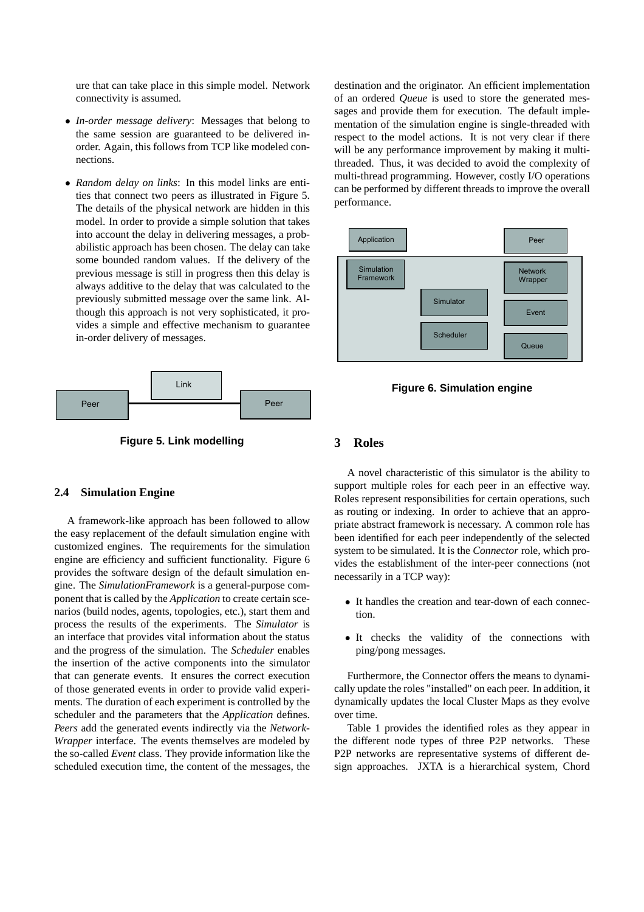ure that can take place in this simple model. Network connectivity is assumed.

- *In-order message delivery*: Messages that belong to the same session are guaranteed to be delivered inorder. Again, this follows from TCP like modeled connections.
- *Random delay on links*: In this model links are entities that connect two peers as illustrated in Figure 5. The details of the physical network are hidden in this model. In order to provide a simple solution that takes into account the delay in delivering messages, a probabilistic approach has been chosen. The delay can take some bounded random values. If the delivery of the previous message is still in progress then this delay is always additive to the delay that was calculated to the previously submitted message over the same link. Although this approach is not very sophisticated, it provides a simple and effective mechanism to guarantee in-order delivery of messages.



**Figure 5. Link modelling**

#### **2.4 Simulation Engine**

A framework-like approach has been followed to allow the easy replacement of the default simulation engine with customized engines. The requirements for the simulation engine are efficiency and sufficient functionality. Figure 6 provides the software design of the default simulation engine. The *SimulationFramework* is a general-purpose component that is called by the *Application* to create certain scenarios (build nodes, agents, topologies, etc.), start them and process the results of the experiments. The *Simulator* is an interface that provides vital information about the status and the progress of the simulation. The *Scheduler* enables the insertion of the active components into the simulator that can generate events. It ensures the correct execution of those generated events in order to provide valid experiments. The duration of each experiment is controlled by the scheduler and the parameters that the *Application* defines. *Peers* add the generated events indirectly via the *Network-Wrapper* interface. The events themselves are modeled by the so-called *Event* class. They provide information like the scheduled execution time, the content of the messages, the destination and the originator. An efficient implementation of an ordered *Queue* is used to store the generated messages and provide them for execution. The default implementation of the simulation engine is single-threaded with respect to the model actions. It is not very clear if there will be any performance improvement by making it multithreaded. Thus, it was decided to avoid the complexity of multi-thread programming. However, costly I/O operations can be performed by different threads to improve the overall performance.



**Figure 6. Simulation engine**

## **3 Roles**

A novel characteristic of this simulator is the ability to support multiple roles for each peer in an effective way. Roles represent responsibilities for certain operations, such as routing or indexing. In order to achieve that an appropriate abstract framework is necessary. A common role has been identified for each peer independently of the selected system to be simulated. It is the *Connector* role, which provides the establishment of the inter-peer connections (not necessarily in a TCP way):

- It handles the creation and tear-down of each connection.
- It checks the validity of the connections with ping/pong messages.

Furthermore, the Connector offers the means to dynamically update the roles "installed" on each peer. In addition, it dynamically updates the local Cluster Maps as they evolve over time.

Table 1 provides the identified roles as they appear in the different node types of three P2P networks. These P2P networks are representative systems of different design approaches. JXTA is a hierarchical system, Chord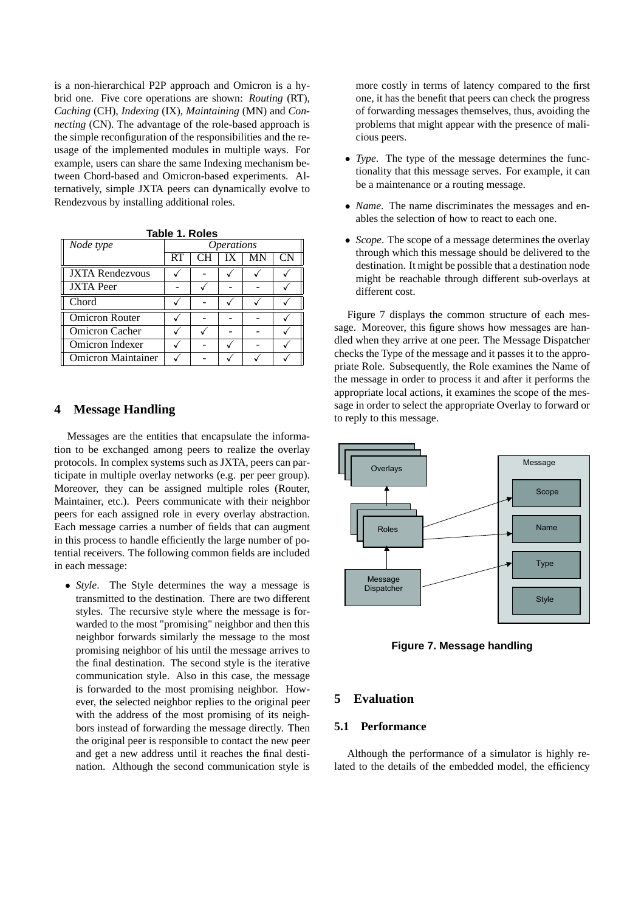is a non-hierarchical P2P approach and Omicron is a hybrid one. Five core operations are shown: *Routing* (RT), *Caching* (CH), *Indexing* (IX), *Maintaining* (MN) and *Connecting* (CN). The advantage of the role-based approach is the simple reconfiguration of the responsibilities and the reusage of the implemented modules in multiple ways. For example, users can share the same Indexing mechanism between Chord-based and Omicron-based experiments. Alternatively, simple JXTA peers can dynamically evolve to Rendezvous by installing additional roles.

| Node type                 | <b>Operations</b> |  |    |    |    |
|---------------------------|-------------------|--|----|----|----|
|                           | <b>RT</b>         |  | IX | MN | CN |
| <b>JXTA Rendezvous</b>    |                   |  |    |    |    |
| <b>JXTA</b> Peer          |                   |  |    |    |    |
| Chord                     |                   |  |    |    |    |
| <b>Omicron Router</b>     |                   |  |    |    |    |
| Omicron Cacher            |                   |  |    |    |    |
| Omicron Indexer           |                   |  |    |    |    |
| <b>Omicron Maintainer</b> |                   |  |    |    |    |

**Table 1. Roles**

## **4 Message Handling**

Messages are the entities that encapsulate the information to be exchanged among peers to realize the overlay protocols. In complex systems such as JXTA, peers can participate in multiple overlay networks (e.g. per peer group). Moreover, they can be assigned multiple roles (Router, Maintainer, etc.). Peers communicate with their neighbor peers for each assigned role in every overlay abstraction. Each message carries a number of fields that can augment in this process to handle efficiently the large number of potential receivers. The following common fields are included in each message:

• *Style*. The Style determines the way a message is transmitted to the destination. There are two different styles. The recursive style where the message is forwarded to the most "promising" neighbor and then this neighbor forwards similarly the message to the most promising neighbor of his until the message arrives to the final destination. The second style is the iterative communication style. Also in this case, the message is forwarded to the most promising neighbor. However, the selected neighbor replies to the original peer with the address of the most promising of its neighbors instead of forwarding the message directly. Then the original peer is responsible to contact the new peer and get a new address until it reaches the final destination. Although the second communication style is

more costly in terms of latency compared to the first one, it has the benefit that peers can check the progress of forwarding messages themselves, thus, avoiding the problems that might appear with the presence of malicious peers.

- *Type*. The type of the message determines the functionality that this message serves. For example, it can be a maintenance or a routing message.
- *Name*. The name discriminates the messages and enables the selection of how to react to each one.
- *Scope*. The scope of a message determines the overlay through which this message should be delivered to the destination. It might be possible that a destination node might be reachable through different sub-overlays at different cost.

Figure 7 displays the common structure of each message. Moreover, this figure shows how messages are handled when they arrive at one peer. The Message Dispatcher checks the Type of the message and it passes it to the appropriate Role. Subsequently, the Role examines the Name of the message in order to process it and after it performs the appropriate local actions, it examines the scope of the message in order to select the appropriate Overlay to forward or to reply to this message.



**Figure 7. Message handling**

## **5 Evaluation**

## **5.1 Performance**

Although the performance of a simulator is highly related to the details of the embedded model, the efficiency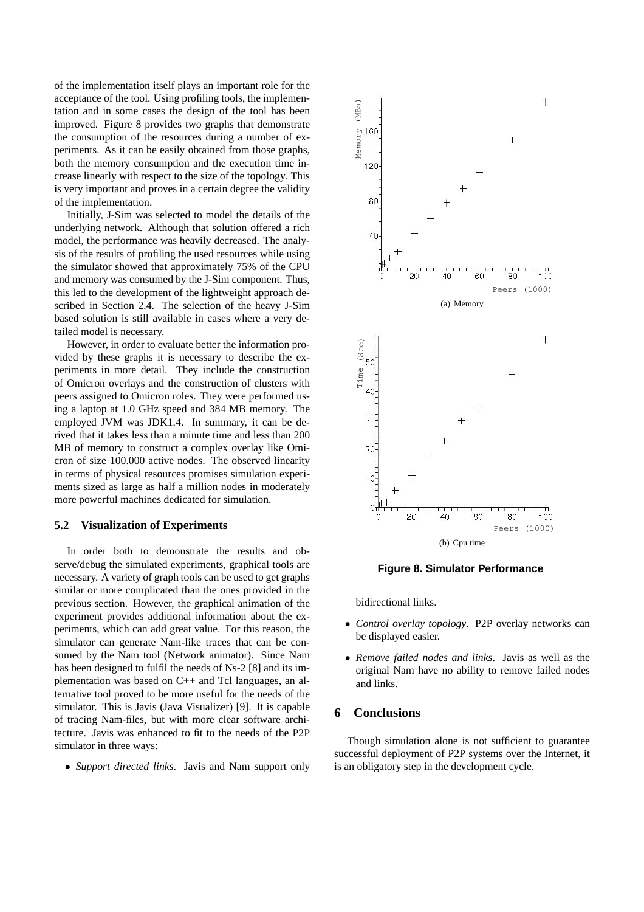of the implementation itself plays an important role for the acceptance of the tool. Using profiling tools, the implementation and in some cases the design of the tool has been improved. Figure 8 provides two graphs that demonstrate the consumption of the resources during a number of experiments. As it can be easily obtained from those graphs, both the memory consumption and the execution time increase linearly with respect to the size of the topology. This is very important and proves in a certain degree the validity of the implementation.

Initially, J-Sim was selected to model the details of the underlying network. Although that solution offered a rich model, the performance was heavily decreased. The analysis of the results of profiling the used resources while using the simulator showed that approximately 75% of the CPU and memory was consumed by the J-Sim component. Thus, this led to the development of the lightweight approach described in Section 2.4. The selection of the heavy J-Sim based solution is still available in cases where a very detailed model is necessary.

However, in order to evaluate better the information provided by these graphs it is necessary to describe the experiments in more detail. They include the construction of Omicron overlays and the construction of clusters with peers assigned to Omicron roles. They were performed using a laptop at 1.0 GHz speed and 384 MB memory. The employed JVM was JDK1.4. In summary, it can be derived that it takes less than a minute time and less than 200 MB of memory to construct a complex overlay like Omicron of size 100.000 active nodes. The observed linearity in terms of physical resources promises simulation experiments sized as large as half a million nodes in moderately more powerful machines dedicated for simulation.

#### **5.2 Visualization of Experiments**

In order both to demonstrate the results and observe/debug the simulated experiments, graphical tools are necessary. A variety of graph tools can be used to get graphs similar or more complicated than the ones provided in the previous section. However, the graphical animation of the experiment provides additional information about the experiments, which can add great value. For this reason, the simulator can generate Nam-like traces that can be consumed by the Nam tool (Network animator). Since Nam has been designed to fulfil the needs of Ns-2 [8] and its implementation was based on C++ and Tcl languages, an alternative tool proved to be more useful for the needs of the simulator. This is Javis (Java Visualizer) [9]. It is capable of tracing Nam-files, but with more clear software architecture. Javis was enhanced to fit to the needs of the P2P simulator in three ways:

• *Support directed links*. Javis and Nam support only



**Figure 8. Simulator Performance**

bidirectional links.

- *Control overlay topology*. P2P overlay networks can be displayed easier.
- *Remove failed nodes and links*. Javis as well as the original Nam have no ability to remove failed nodes and links.

### **6 Conclusions**

Though simulation alone is not sufficient to guarantee successful deployment of P2P systems over the Internet, it is an obligatory step in the development cycle.